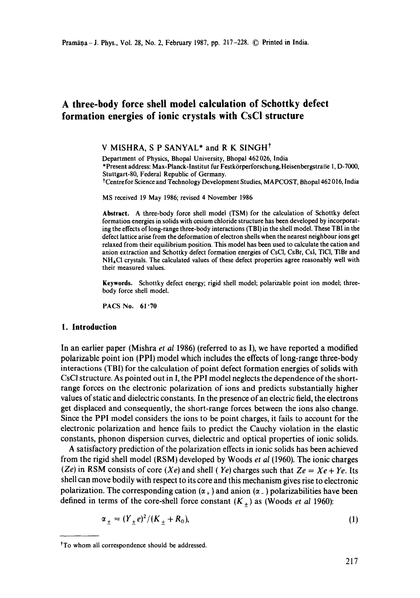# **A three-body force shell model calculation of Schottky defect formation energies of ionic crystals with CsCI structure**

#### V MISHRA, S P SANYAL\* and R K SINGH<sup>†</sup>

Department of Physics, Bhopal University, Bhopal 462 026, India \*Present address: Max-Planck-lnstitut fur Festk6rperforschung, HeisenbergstraBe 1, D-7000, Stuttgart-80, Federal Republic of Germany. tCentre for Science and Technology Development Studies, MAPCOST, Bhopa1462 016, India

MS received 19 May 1986; revised 4 November 1986

**Abstract.** A three-body force shell model (TSM) for the calculation of Schottky defect formation energies in solids with cesium chloride structure has been developed by incorporating the effects of long-range three-body interactions (TBI) in the shell model. These TBI in the defect lattice arise from the deformation of electron shells when the nearest neighbour ions get relaxed from their equilibrium position. This model has been used to calculate the cation and anion extraction and Schottky defect formation energies of CsCI, CsBr, Csl, TICI, TIBr and NH4CI crystals. The calculated values of these defect properties agree reasonably well with their measured values.

**Keywords.** Schottky defect energy; rigid shell model; polarizable point ion model; threebody force shell model.

PACS No. 61.70

### **1. Introduction**

In an earlier paper (Mishra *et al* 1986) (referred to as I), we have reported a modified polarizable point ion (PPI) model which includes the effects of long-range three-body interactions (TBI) for the calculation of point defect formation energies of solids with CsCI structure. As pointed out in I, the PPI model neglects the dependence of the shortrange forces on the electronic polarization of ions and predicts substantially higher values of static and dielectric constants. In the presence of an electric field, the electrons get displaced and consequently, the short-range forces between the ions also change. Since the PPI model considers the ions to be point charges, it fails to account for the electronic polarization and hence fails to predict the Cauchy violation in the elastic constants, phonon dispersion curves, dielectric and optical properties of ionic solids.

A satisfactory prediction of the polarization effects in ionic solids has been achieved from the rigid shell model (RSM) developed by Woods *et al* (1960). The ionic charges  $(Ze)$  in RSM consists of core  $(Xe)$  and shell (Ye) charges such that  $Ze = Xe + Ye$ . Its shell can move bodily with respect to its core and this mechanism gives rise to electronic polarization. The corresponding cation  $(\alpha_+)$  and anion  $(\alpha_-)$  polarizabilities have been defined in terms of the core-shell force constant  $(K_+)$  as (Woods *et al* 1960):

$$
\alpha_{\pm} = (Y_{\pm}e)^2 / (K_{\pm} + R_0), \tag{1}
$$

tTo whom all correspondence should be addressed.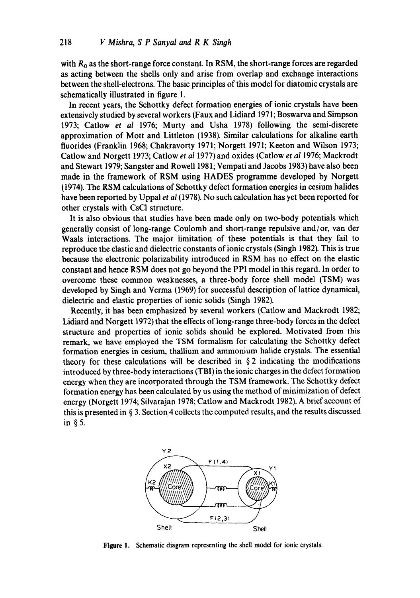with  $R_0$  as the short-range force constant. In RSM, the short-range forces are regarded as acting between the shells only and arise from overlap and exchange interactions between the shell-electrons. The basic principles of this model for diatomic crystals are schematically illustrated in figure 1.

In recent years, the Schottky defect formation energies of ionic crystals have been extensively studied by several workers (Faux and Lidiard 1971; Boswarva and Simpson 1973; Catlow *et al* 1976; Murty and Usha 1978) following the semi-discrete approximation of Mott and Littleton (1938). Similar calculations for alkaline earth fluorides (Franklin 1968; Chakravorty 1971; Norgett 1971; Keeton and Wilson 1973; Catlow and Norgett 1973; Catlow *et al* 1977) and oxides (Catlow *et al* 1976; Mackrodt and Stewart 1979; Sangster and Rowell 1981; Vempati and Jacobs 1983) have also been made in the framework of RSM using HADES programme developed by Norgett (1974). The RSM calculations of Schottky defect formation energies in cesium halides have been reported by Uppal *et al* (1978). No such calculation has yet been reported for other crystals with CsCI structure.

It is also obvious that studies have been made only on two-body potentials which generally consist of long-range Coulomb and short-range repulsive and/or, van der Waals interactions. The major limitation of these potentials is that they fail to reproduce the elastic and dielectric constants of ionic crystals (Singh 1982). This is true because the electronic polarizability introduced in RSM has no effect on the elastic constant and hence RSM does not go beyond the PPI model in this regard. In order to overcome these common weaknesses, a three-body force shell model (TSM) was developed by Singh and Verma (1969) for successful description of lattice dynamical, dielectric and elastic properties of ionic solids (Singh 1982).

Recently, it has been emphasized by several workers (Catlow and Mackrodt 1982; Lidiard and Norgett 1972) that the effects of long-range three-body forces in the defect structure and properties of ionic solids should be explored. Motivated from this remark, we have employed the TSM formalism for calculating the Schottky defect formation energies in cesium, thallium and ammonium halide crystals. The essential theory for these calculations will be described in  $\S$  2 indicating the modifications introduced by three-body interactions (TBI) in the ionic charges in the defect formation energy when they are incorporated through the TSM framework. The Schottky defect formation energy has been calculated by us using the method of minimization of defect energy (Norgett 1974; Silvarajan 1978; Catlow and Mackrodt 1982). A brief account of this is presented in  $\S$  3. Section 4 collects the computed results, and the results discussed in §5.



**Figure** l. Schematic diagram representing the shell model for ionic crystals.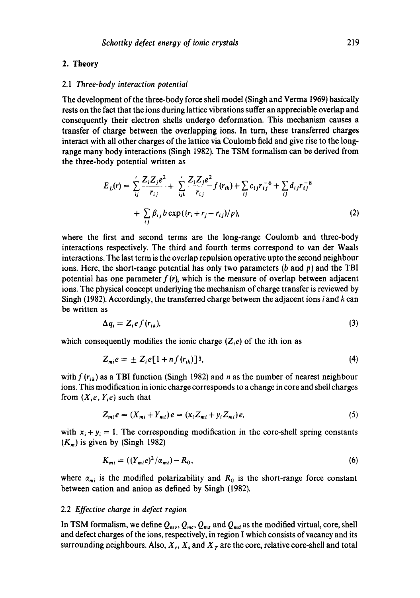#### **2. Theory**

#### 2.1 *Three-body interaction potential*

The development of the three-body force shell model (Singh and Verma 1969) basically rests on the fact that the ions during lattice vibrations suffer an appreciable overlap and consequently their electron shells undergo deformation. This mechanism causes a transfer of charge between the overlapping ions. In turn, these transferred charges interact with all other charges of the lattice via Coulomb field and give rise to the longrange many body interactions (Singh 1982). The TSM formalism can be derived from the three-body potential written as

$$
E_{L}(r) = \sum_{ij}^{\prime} \frac{Z_{i} Z_{j} e^{2}}{r_{ij}} + \sum_{ijk}^{\prime} \frac{Z_{i} Z_{j} e^{2}}{r_{ij}} f(r_{ik}) + \sum_{ij} c_{ij} r_{ij}^{-6} + \sum_{ij} d_{ij} r_{ij}^{-8}
$$
  
+ 
$$
\sum_{ij} \beta_{ij} b \exp((r_{i} + r_{j} - r_{ij})/p),
$$
 (2)

where the first and second terms are the long-range Coulomb and three-body interactions respectively. The third and fourth terms correspond to van der Waals interactions. The last term is the overlap repulsion operative upto the second neighbour ions. Here, the short-range potential has only two parameters (b and  $p$ ) and the TBI potential has one parameter  $f(r)$ , which is the measure of overlap between adjacent ions. The physical concept underlying the mechanism of charge transfer is reviewed by Singh (1982). Accordingly, the transferred charge between the adjacent ions  $i$  and  $k$  can be written as

$$
\Delta q_i = Z_i e f(r_{ik}), \tag{3}
$$

which consequently modifies the ionic charge  $(Z_i e)$  of the *i*th ion as

$$
Z_{mi}e = \pm Z_i e[1 + nf(r_{ik})]^{\frac{1}{2}}, \qquad (4)
$$

with  $f(r_{ik})$  as a TBI function (Singh 1982) and n as the number of nearest neighbour ions. This modification in ionic charge corresponds to a change in core and shell charges from  $(X_i e, Y_i e)$  such that

$$
Z_{mi}e = (X_{mi} + Y_{mi})e = (x_i Z_{mi} + y_i Z_{mi})e,
$$
\n
$$
(5)
$$

with  $x_i + y_i = 1$ . The corresponding modification in the core-shell spring constants  $(K_m)$  is given by (Singh 1982)

$$
K_{mi} = ((Y_{mi}e)^2/\alpha_{mi}) - R_0, \tag{6}
$$

where  $\alpha_{mi}$  is the modified polarizability and  $R_0$  is the short-range force constant between cation and anion as defined by Singh (1982).

### 2.2 *Effective charge in defect region*

In TSM formalism, we define  $Q_{mv}$ ,  $Q_{mc}$ ,  $Q_{ms}$  and  $Q_{md}$  as the modified virtual, core, shell and defect charges of the ions, respectively, in region I which consists of vacancy and its surrounding neighbours. Also,  $X_c$ ,  $X_s$  and  $X_t$  are the core, relative core-shell and total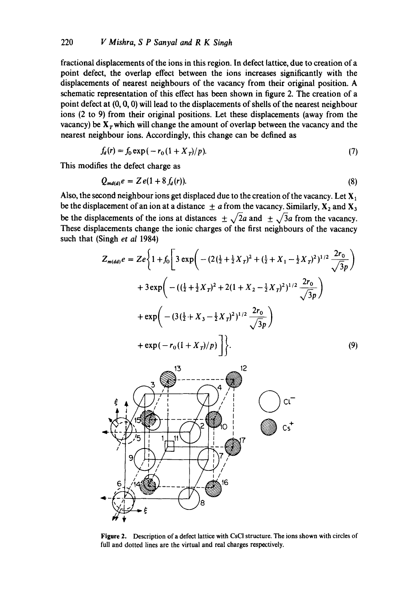fractional displacements of the ions in this region. In defect lattice, due to creation of a point defect, the overlap effect between the ions increases significantly with the displacements of nearest neighbours of the vacancy from their original position. A schematic representation of this effect has been shown in figure 2. The creation of a point defect at (0, 0, 0) will lead to the displacements of shells of the nearest neighbour ions (2 to 9) from their original positions. Let these displacements (away from the vacancy) be  $X<sub>T</sub>$  which will change the amount of overlap between the vacancy and the nearest neighbour ions. Accordingly, this change can be defined as

$$
f_a(r) = f_0 \exp(-r_0(1+X_T)/p). \tag{7}
$$

This modifies the defect charge as

$$
Q_{md(d)}e = Ze(1+8f_d(r)).
$$
\n(8)

Also, the second neighbour ions get displaced due to the creation of the vacancy. Let  $X_1$ be the displacement of an ion at a distance  $\pm a$  from the vacancy. Similarly,  $X_2$  and  $X_3$ be the displacements of the ions at distances  $\pm \sqrt{2}a$  and  $\pm \sqrt{3}a$  from the vacancy. These displacements change the ionic charges of the first neighbours of the vacancy such that (Singh *et al* 1984)

$$
Z_{m(dd)}e = Ze \left\{ 1 + f_0 \left[ 3 \exp \left( - (2(\frac{1}{2} + \frac{1}{2}X_T)^2 + (\frac{1}{2} + X_1 - \frac{1}{2}X_T)^2)^{1/2} \frac{2r_0}{\sqrt{3}p} \right) \right. \\ + 3 \exp \left( -((\frac{1}{2} + \frac{1}{2}X_T)^2 + 2(1 + X_2 - \frac{1}{2}X_T)^2)^{1/2} \frac{2r_0}{\sqrt{3}p} \right) \\ + \exp \left( - (3(\frac{1}{2} + X_3 - \frac{1}{2}X_T)^2)^{1/2} \frac{2r_0}{\sqrt{3}p} \right) \\ + \exp(-r_0(1 + X_T)/p) \right] \right\}. \tag{9}
$$



**Figure** 2. Description of a defect lattice with CsCI structure. The ions shown with circles of full and dotted lines are the virtual and real charges respectively.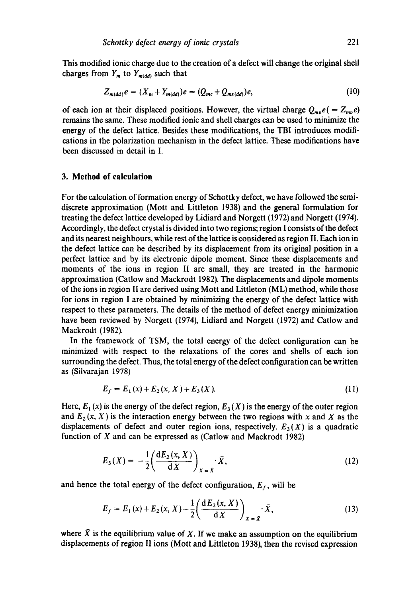This modified ionic charge due to the creation of a defect will change the original shell charges from  $Y_m$  to  $Y_{m(dd)}$  such that

$$
Z_{m(\text{dd})}e = (X_m + Y_{m(\text{dd})})e = (Q_{mc} + Q_{ms(\text{dd})})e, \tag{10}
$$

of each ion at their displaced positions. However, the virtual charge  $Q_{mv}e(=Z_{mv}e)$ remains the same. These modified ionic and shell charges can be used to minimize the energy of the defect lattice. Besides these modifications, the TBI introduces modifications in the polarization mechanism in the defect lattice. These modifications have been discussed in detail in I.

# **3. Method of calculation**

For the calculation of formation energy of Schottky defect, we have followed the semidiscrete approximation (Mott and Littleton 1938) and the general formulation for treating the defect lattice developed by Lidiard and Norgett (1972) and Norgett (1974). Accordingly, the defect crystal is divided into two regions; region I consists of the defect and its nearest neighbours, while rest of the lattice is considered as region II. Each ion in the defect lattice can be described by its displacement from its original position in a perfect lattice and by its electronic dipole moment. Since these displacements and moments of the ions in region II are small, they are treated in the harmonic approximation (Catlow and Mackrodt 1982). The displacements and dipole moments of the ions in region II are derived using Mott and Littleton (ML) method, while those for ions in region I are obtained by minimizing the energy of the defect lattice with respect to these parameters. The details of the method of defect energy minimization have been reviewed by Norgett (1974), Lidiard and Norgett (1972) and Catlow and Mackrodt (1982).

In the framework of TSM, the total energy of the defect configuration can be minimized with respect to the relaxations of the cores and shells of each ion surrounding the defect. Thus, the total energy of the defect configuration can be written as (Silvarajan 1978)

$$
E_f = E_1(x) + E_2(x, X) + E_3(X). \tag{11}
$$

Here,  $E_1(x)$  is the energy of the defect region,  $E_3(X)$  is the energy of the outer region and  $E_2(x, X)$  is the interaction energy between the two regions with x and X as the displacements of defect and outer region ions, respectively.  $E_3(X)$  is a quadratic function of X and can be expressed as (Catlow and Mackrodt 1982)

$$
E_3(X) = -\frac{1}{2} \left( \frac{dE_2(x, X)}{dX} \right)_{X = \bar{X}} \cdot \bar{X},\tag{12}
$$

and hence the total energy of the defect configuration,  $E_f$ , will be

$$
E_f = E_1(x) + E_2(x, X) - \frac{1}{2} \left( \frac{d E_2(x, X)}{d X} \right)_{X = \bar{X}} \cdot \bar{X},
$$
\n(13)

where  $\bar{X}$  is the equilibrium value of X. If we make an assumption on the equilibrium displacements of region II ions (Mott and Littleton 1938), then the revised expression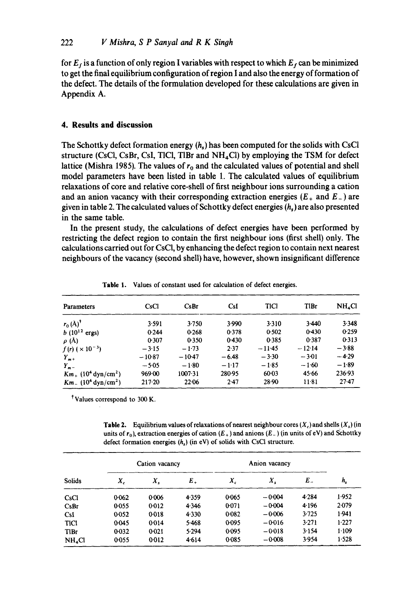for  $E_f$  is a function of only region I variables with respect to which  $E_f$  can be minimized **to get the final equilibrium configuration of region I and also the energy of formation of the defect. The details of the formulation developed for these calculations are given in Appendix A.** 

# **4. Results and discussion**

The Schottky defect formation energy  $(h<sub>s</sub>)$  has been computed for the solids with CsCl **structure (CsCI, CsBr, CsI, TICI, TIBr and NH4C1) by employing the TSM for defect**  lattice (Mishra 1985). The values of  $r_0$  and the calculated values of potential and shell **model parameters have been listed in table 1. The calculated values of equilibrium relaxations of core and relative core-shell of first neighbour ions surrounding a cation**  and an anion vacancy with their corresponding extraction energies  $(E_{+}$  and  $E_{-})$  are **given in table 2. The calculated values of Schottky defect energies (h~) are also presented in the same table.** 

**In the present study, the calculations of defect energies have been performed by restricting the defect region to contain the first neighbour ions (first shell) only. The calculations carried out for CsCI, by enhancing the defect region to contain next nearest neighbours of the vacancy (second shell) have, however, shown insignificant difference** 

| <b>Parameters</b>                               | CsCl       | C <sub>s</sub> Br | C <sub>sl</sub> | <b>TICI</b> | TIBr     | NH <sub>4</sub> Cl |
|-------------------------------------------------|------------|-------------------|-----------------|-------------|----------|--------------------|
| $r_0(A)^{\dagger}$                              | 3.591      | 3.750             | 3.990           | 3.310       | 3.440    | 3.348              |
| $b(10^{12} \text{ ergs})$                       | 0.244      | 0.268             | 0.378           | 0.502       | 0.430    | 0.259              |
| $\rho$ (Å)                                      | 0.307      | 0.350             | 0.430           | 0.385       | 0.387    | 0.313              |
| $f(r)$ ( $\times$ 10 <sup>-3</sup> )            | $-3.15$    | $-1.73$           | 2.37            | $-11-45$    | $-12.14$ | $-3.88$            |
| $Y_{m+}$                                        | $-10.87$   | $-10-47$          | $-6.48$         | $-3.30$     | $-3.01$  | $-4.29$            |
| $Y_{n-1}$                                       | $-5.05$    | $-1.80$           | $-1.17$         | $-1.85$     | $-1.60$  | $-1.89$            |
| $Km_{+}$ (10 <sup>4</sup> dyn/cm <sup>2</sup> ) | 969.00     | 1007·31           | 280.95          | $60 - 03$   | 45.66    | 236.93             |
| $Km = (104 dyn/cm2)$                            | $217 - 20$ | 22.06             | 2.47            | $28-90$     | $11-81$  | $27 - 47$          |

**Table 1. Values of constant used for calculation of defect energies.** 

**Values correspond to** 300 K.

**Table 2.** Equilibrium values of relaxations of nearest neighbour cores  $(X_c)$  and shells  $(X_s)$  (in units of  $r_0$ ), extraction energies of cation  $(E_+)$  and anions  $(E_-)$  (in units of eV) and Schottky **defect formation energies (h,) (in eV) of solids with CsCI structure.** 

| <b>Solids</b>      | Cation vacancy |         |         | Anion vacancy |          |         |             |
|--------------------|----------------|---------|---------|---------------|----------|---------|-------------|
|                    | Χ,             | X,      | $E_{+}$ | $X_c$         | X,       | Е.      | $h_{\rm s}$ |
| CsCl               | 0062           | 0.006   | 4.359   | 0.065         | $-0.004$ | 4.284   | 1.952       |
| CsBr               | 0.055          | 0.012   | 4.346   | 0:071         | $-0.004$ | 4.196   | $2-079$     |
| C <sub>5</sub>     | 0.052          | 0.018   | 4.330   | 0.082         | $-0.006$ | $3-725$ | 1.941       |
| <b>TICI</b>        | 0-045          | 0.014   | 5.468   | 0.095         | $-0.016$ | 3.271   | 1.227       |
| <b>TIBr</b>        | $0-032$        | $0-021$ | 5.294   | 0.095         | $-0.018$ | 3.154   | 1.109       |
| NH <sub>4</sub> Cl | 0.055          | 0.012   | 4.614   | 0.085         | $-0.008$ | 3.954   | 1.528       |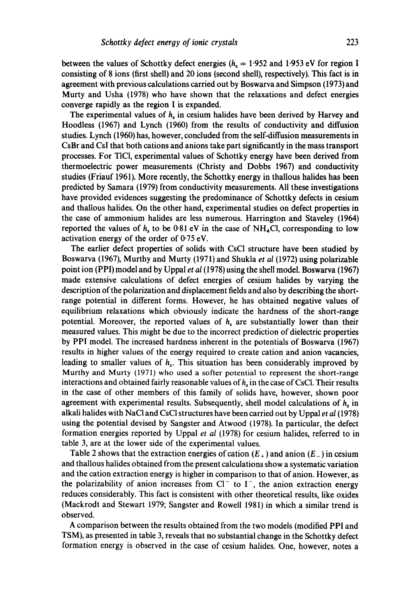between the values of Schottky defect energies ( $h<sub>s</sub> = 1.952$  and 1.953 eV for region I consisting of 8 ions (first shell) and 20 ions (second shell), respectively). This fact is in agreement with previous calculations carried out by Boswarva and Simpson (1973) and Murty and Usha (1978) who have shown that the relaxations and defect energies converge rapidly as the region I is expanded.

The experimental values of  $h_s$  in cesium halides have been derived by Harvey and Hoodless (1967) and Lynch (1960) from the results of conductivity and diffusion studies. Lynch (1960) has, however, concluded from the self-diffusion measurements in CsBr and CsI that both cations and anions take part significantly in the mass transport processes. For TICI, experimental values of Sehottky energy have been derived from thermoelectric power measurements (Christy and Dobbs 1967) and conductivity studies (Friauf 1961). More recently, the Schottky energy in thallous halides has been predicted by Samara (1979) from conductivity measurements. All these investigations have provided evidences suggesting the predominance of Schottky defects in cesium and thallous halides. On the other hand, experimental studies on defect properties in the case of ammonium halides are less numerous. Harrington and Staveley (1964) reported the values of  $h<sub>s</sub>$  to be 0.81 eV in the case of NH<sub>4</sub>Cl, corresponding to low activation energy of the order of 0.75 eV.

The earlier defect properties of solids with CsCl structure have been studied by Boswarva (1967), Murthy and Murty (1971) and Shukla *et al* (1972) using polarizable point ion (PPI) model and by Uppal *et al* (1978) using the shell model. Boswarva (1967) made extensive calculations of defect energies of cesium halides by varying the description of the polarization and displacement fields and also by describing the shortrange potential in different forms. However, he has obtained negative values of equilibrium relaxations which obviously indicate the hardness of the short-range potential. Moreover, the reported values of  $h<sub>s</sub>$  are substantially lower than their measured values. This might be due to the incorrect prediction of dielectric properties by PPI model. The increased hardness inherent in the potentials of Boswarva (1967) results in higher values of the energy required to create cation and anion vacancies, leading to smaller values of  $h<sub>s</sub>$ . This situation has been considerably improved by Murthy and Murty (1971) who used a softer potential to represent the short-range interactions and obtained fairly reasonable values of  $h_s$  in the case of CsCl. Their results in the ease of other members of this family of solids have, however, shown poor agreement with experimental results. Subsequently, shell model calculations of  $h<sub>s</sub>$  in alkali halides with NaCI and CsCI structures have been carried out by Uppal *et al* (1978) using the potential devised by Sangster and Atwood (1978). In particular, the defect formation energies reported by Uppal *et al* (1978) for cesium halides, referred to in table 3, are at the lower side of the experimental values.

Table 2 shows that the extraction energies of cation  $(E_{+})$  and anion  $(E_{-})$  in cesium and thallous halides obtained from the present calculations show a systematic variation and the cation extraction energy is higher in comparison to that of anion. However, as the polarizability of anion increases from  $Cl^-$  to  $I^-$ , the anion extraction energy reduces considerably. This fact is consistent with other theoretical results, like oxides (Mackrodt and Stewart 1979; Sangster and Rowell 1981) in which a similar trend is observed.

A comparison between the results obtained from the two models (modified PPI and TSM), as presented in table 3, reveals that no substantial change in the Schottky defect formation energy is observed in the case of cesium halides. One, however, notes a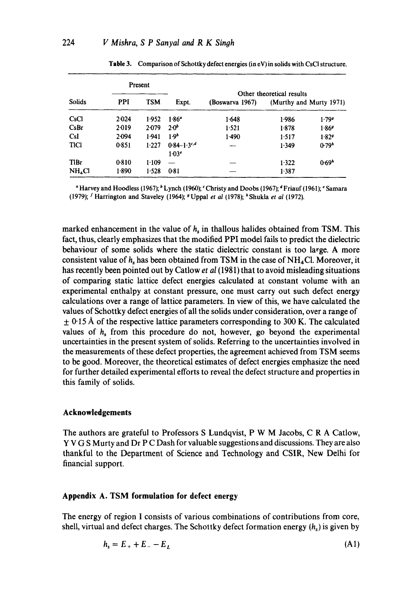|                    | Present    |            |                          |                           |       |                         |  |
|--------------------|------------|------------|--------------------------|---------------------------|-------|-------------------------|--|
|                    |            |            |                          | Other theoretical results |       |                         |  |
| <b>Solids</b>      | <b>PPI</b> | <b>TSM</b> | Expt.                    | (Boswarva 1967)           |       | (Murthy and Murty 1971) |  |
| CsCl               | $2-0.24$   | 1.952      | $1.86^{\circ}$           | 1.648                     | 1.986 | 1.799                   |  |
| CsBr               | 2.019      | 2.079      | $2.0^{b}$                | 1.521                     | 1.878 | 1.869                   |  |
| <b>CsI</b>         | $2-094$    | 1.941      | 1.9 <sup>b</sup>         | 1.490                     | 1.517 | 1.829                   |  |
| <b>TICI</b>        | 0.851      | 1.227      | $0.84 - 1.3$             | ---                       | 1.349 | 0.79 <sup>h</sup>       |  |
|                    |            |            | 1.03 <sup>e</sup>        |                           |       |                         |  |
| <b>T</b> lBr       | 0.810      | 1.109      | $\overline{\phantom{0}}$ |                           | 1.322 | 0.69 <sup>h</sup>       |  |
| NH <sub>4</sub> Cl | 1.890      | 1.528      | 0.81                     |                           | 1.387 |                         |  |

Table 3. Comparison of Schottky defect energies (in eV) in solids with CsCI structure.

<sup>a</sup> Harvey and Hoodless (1967); <sup>b</sup> Lynch (1960); <sup>c</sup> Christy and Doobs (1967); <sup>d</sup> Friauf (1961); <sup>e</sup> Samara (1979); I Harrington and Staveley (1964); g Uppal *et al* (1978); ~ Shukla *et al* (1972).

marked enhancement in the value of  $h<sub>s</sub>$  in thallous halides obtained from TSM. This fact, thus, clearly emphasizes that the modified PPI model fails to predict the dielectric behaviour of some solids where the static dielectric constant is too large. A more consistent value of  $h_s$  has been obtained from TSM in the case of NH<sub>4</sub>Cl. Moreover, it has recently been pointed out by Catlow *et al (1981)* that to avoid misleading situations of comparing static lattice defect energies calculated at constant volume with an experimental enthalpy at constant pressure, one must carry out such defect energy calculations over a range of lattice parameters. In view of this, we have calculated the values of Schottky defect energies of all the solids under consideration, over a range of  $\pm$  0.15 Å of the respective lattice parameters corresponding to 300 K. The calculated values of  $h<sub>s</sub>$  from this procedure do not, however, go beyond the experimental uncertainties in the present system of solids. Referring to the uncertainties involved in the measurements of these defect properties, the agreement achieved from TSM seems to be good. Moreover, the theoretical estimates of defect energies emphasize the need for further detailed experimental efforts to reveal the defect structure and properties in this family of solids.

### **Acknowledgements**

The authors are grateful to Professors S Lundqvist, P W M Jacobs, C R A Catlow, Y V G S Murty and Dr P C Dash for valuable suggestions and discussions. They are also thankful to the Department of Science and Technology and CSIR, New Delhi for financial support.

# **Appendix A. TSM formulation for defect energy**

The energy of region I consists of various combinations of contributions from core, shell, virtual and defect charges. The Schottky defect formation energy  $(h<sub>s</sub>)$  is given by

$$
h_s = E_+ + E_- - E_L \tag{A1}
$$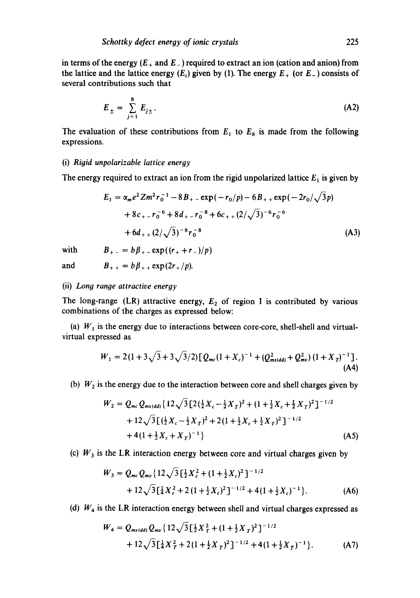in terms of the energy  $(E_+$  and  $E_-$ ) required to extract an ion (cation and anion) from the lattice and the lattice energy  $(E_i)$  given by (1). The energy  $E_+$  (or  $E_-$ ) consists of several contributions such that

$$
E_{\pm} = \sum_{j=1}^{8} E_{j\pm}.
$$
 (A2)

The evaluation of these contributions from  $E_1$  to  $E_8$  is made from the following expressions.

#### (i) *Rigid unpolarizable lattice energy*

The energy required to extract an ion from the rigid unpolarized lattice  $E_1$  is given by

$$
E_1 = \alpha_m e^2 Z m^2 r_0^{-1} - 8 B_+ - \exp(-r_0/p) - 6 B_+ + \exp(-2r_0/\sqrt{3}p)
$$
  
+ 8c<sub>+</sub> - r\_0^{-6} + 8d<sub>+</sub> - r\_0^{-8} + 6c<sub>+</sub> + (2/\sqrt{3})^{-6}r\_0^{-6}  
+ 6d<sub>+</sub> + (2/\sqrt{3})^{-8}r\_0^{-8} (A3)

with  $B_{+} = b\beta_{+} - \exp((r_{+} + r_{-})/p)$ 

and 
$$
B_{++} = b\beta_{++} \exp(2r_{+}/p)
$$
.

(ii) *Long range attractive energy* 

The long-range (LR) attractive energy,  $E_2$  of region I is contributed by various combinations of the charges as expressed below:

(a)  $W_1$  is the energy due to interactions between core-core, shell-shell and virtualvirtual expressed as

$$
W_1 = 2(1 + 3\sqrt{3} + 3\sqrt{3}/2) [Q_{mc}(1 + X_c)^{-1} + (Q_{ms(dd)}^2 + Q_{mc}^2)(1 + X_T)^{-1}].
$$
\n(A4)

(b)  $W_2$  is the energy due to the interaction between core and shell charges given by

$$
W_2 = Q_{mc} Q_{ms(dd)} \left\{ 12\sqrt{3} \left[ 2(\frac{1}{2}X_c - \frac{1}{2}X_T)^2 + (1 + \frac{1}{2}X_c + \frac{1}{2}X_T)^2 \right]^{-1/2} + 12\sqrt{3} \left[ (\frac{1}{2}X_c - \frac{1}{2}X_T)^2 + 2(1 + \frac{1}{2}X_c + \frac{1}{2}X_T)^2 \right]^{-1/2} + 4(1 + \frac{1}{2}X_c + X_T)^{-1} \right\}
$$
(A5)

(c)  $W_3$  is the LR interaction energy between core and virtual charges given by

$$
W_3 = Q_{mc} Q_{mv} \{ 12\sqrt{3} \left[ \frac{1}{2} X_c^2 + (1 + \frac{1}{2} X_c)^2 \right]^{-1/2} + 12\sqrt{3} \left[ \frac{1}{4} X_c^2 + 2 (1 + \frac{1}{2} X_c)^2 \right]^{-1/2} + 4 (1 + \frac{1}{2} X_c)^{-1} \}.
$$
 (A6)

(d)  $W_4$  is the LR interaction energy between shell and virtual charges expressed as

$$
W_4 = Q_{ms(dd)} Q_{mv} \{ 12\sqrt{3} \left[ \frac{1}{2} X_T^2 + (1 + \frac{1}{2} X_T)^2 \right]^{-1/2} + 12\sqrt{3} \left[ \frac{1}{4} X_T^2 + 2(1 + \frac{1}{2} X_T)^2 \right]^{-1/2} + 4(1 + \frac{1}{2} X_T)^{-1} \}.
$$
 (A7)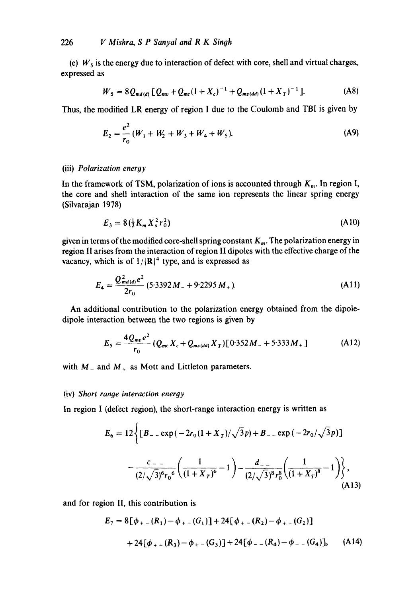(e)  $W<sub>5</sub>$  is the energy due to interaction of defect with core, shell and virtual charges, expressed as

$$
W_5 = 8 Q_{md(d)} [Q_{mv} + Q_{mc} (1 + X_c)^{-1} + Q_{ms(dd)} (1 + X_T)^{-1}].
$$
 (A8)

Thus, the modified LR energy of region I due to the Coulomb and TBI is given by

$$
E_2 = \frac{e^2}{r_0} (W_1 + W_2 + W_3 + W_4 + W_5).
$$
 (A9)

# (iii) *Polarization energy*

In the framework of TSM, polarization of ions is accounted through  $K<sub>m</sub>$ . In region I, the core and shell interaction of the same ion represents the linear spring energy (Silvarajan 1978)

$$
E_3 = 8\left(\frac{1}{2}K_m X_s^2 r_0^2\right) \tag{A10}
$$

given in terms of the modified core-shell spring constant  $K_m$ . The polarization energy in region II arises from the interaction of region II dipoles with the effective charge of the vacancy, which is of  $1/|\mathbf{R}|^4$  type, and is expressed as

$$
E_4 = \frac{Q_{md(d)}^2 e^2}{2r_0} (5.3392 M_{-} + 9.2295 M_{+}).
$$
 (A11)

An additional contribution to the polarization energy obtained from the dipoledipole interaction between the two regions is given by

$$
E_5 = \frac{4Q_{mv}e^2}{r_0} (Q_{mc}X_c + Q_{ms(dd)}X_T)[0.352M_- + 5.333M_+]
$$
 (A12)

with  $M_-$  and  $M_+$  as Mott and Littleton parameters.

### (iv) *Short range interaction energy*

In region I (defect region), the short-range interaction energy is written as

$$
E_6 = 12 \left\{ \left[ B_{--} \exp\left( -2r_0(1+X_T)/\sqrt{3}p \right) + B_{--} \exp\left( -2r_0/\sqrt{3}p \right) \right] - \frac{c_{--}}{(2/\sqrt{3})^6 r_0^6} \left( \frac{1}{(1+X_T)^6} - 1 \right) - \frac{d_{--}}{(2/\sqrt{3})^8 r_0^8} \left( \frac{1}{(1+X_T)^8} - 1 \right) \right\}, \tag{A13}
$$

and for region II, this contribution is

$$
E_7 = 8[\phi_{+-}(R_1) - \phi_{+-}(G_1)] + 24[\phi_{+-}(R_2) - \phi_{+-}(G_2)]
$$
  
+ 24[\phi\_{+-}(R\_3) - \phi\_{+-}(G\_3)] + 24[\phi\_{--}(R\_4) - \phi\_{--}(G\_4)], (A14)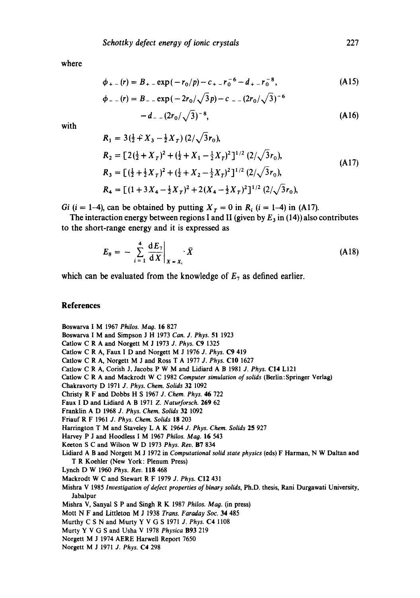where

$$
\phi_{+-}(r) = B_{+-} \exp(-r_0/p) - c_{+-}r_0^{-6} - d_{+-}r_0^{-8},
$$
\n(A15)

$$
\phi_{--}(r) = B_{--} \exp(-2r_0/\sqrt{3}p) - c_{--}(2r_0/\sqrt{3})^{-6}
$$
  
- d\_{--}(2r\_0/\sqrt{3})^{-8}, (A16)

with

$$
R_1 = 3(\frac{1}{2} + X_3 - \frac{1}{2}X_T) (2/\sqrt{3}r_0),
$$
  
\n
$$
R_2 = [2(\frac{1}{2} + X_T)^2 + (\frac{1}{2} + X_1 - \frac{1}{2}X_T)^2]^{1/2} (2/\sqrt{3}r_0),
$$
  
\n
$$
R_3 = [(\frac{1}{2} + \frac{1}{2}X_T)^2 + (\frac{1}{2} + X_2 - \frac{1}{2}X_T)^2]^{1/2} (2/\sqrt{3}r_0),
$$
  
\n
$$
R_4 = [(1 + 3X_4 - \frac{1}{2}X_T)^2 + 2(X_4 - \frac{1}{2}X_T)^2]^{1/2} (2/\sqrt{3}r_0),
$$
  
\n(A17)

*Gi* (*i* = 1-4), can be obtained by putting  $X_T = 0$  in  $R_i$  (*i* = 1-4) in (A17).

The interaction energy between regions I and II (given by  $E_3$  in (14)) also contributes to the short-range energy and it is expressed as

$$
E_8 = -\sum_{i=1}^4 \left. \frac{\mathrm{d}E_7}{\mathrm{d}X} \right|_{X=X_i} \cdot \bar{X} \tag{A18}
$$

which can be evaluated from the knowledge of  $E_7$  as defined earlier.

# **References**

Boswarva I M 1967 Philos. Mag. 16 827

Boswarva I M and Simpson J H 1973 *Can. J. Phys.* 51 1923

Catlow C R A and Norgett M J 1973 *J. Phys.* C9 1325

Catlow C R A, Faux I D and Norgett M J 1976 *J. Phys.* C9 419

Catlow C R A, Norgett M J and Ross T A 1977 *3. Phys.* C10 1627

Catlow C R A, Corish J, Jacobs P W M and Lidiard A B 1981 *J. Phys.* C14 LI21

Catlow C R A and Mackrodt W C 1982 *Computer simulation of solids* (Berlin: Springer Verlag)

Chakravorty D 1971 *J. Phys. Chem. Solids* 32 1092

Christy R F and Dobbs H S 1967 *J. Chem. Phys.* 46 722

Faux I D and Lidiard A B 1971 *Z. Naturforsch.* 269 62

Franklin A D 1968 *J. Phys. Chem. Solids* 32 1092

Friauf R F 1961 *J. Phys. Chem. Solids* 18 203

Harrington T M and Staveley L A K 1964 *J. Phys. Chem. Solids* 25 927

Harvey P J and Hoodless I M 1967 Philos. Mag. 16 543

Keeton S C and Wilson W D 1973 *Phys. Rev.* B7 834

Lidiard A B and Norgett M J 1972 in *Computational solid state physics* (eds) F Harm\_an, N W Daltan and T R Koehler (New York: Plenum Press)

Lynch D W 1960 *Phys.* Rev. 118 468

Mackrodt W C and Stewart R F 1979 *J. Phys.* C12 431

Mishra V 1985 *Investigation of defect properties of binary solids,* Ph.D. thesis, Rani Durgawati University, Jabalpur

Mishra V, Sanyal S P and Singh R K 1987 *Philos. Mag.* (in press)

Mott N F and Littleton M J 1938 *Trans. Faraday Soc.* 34 485

Murthy C S N and Murty Y V G S 1971 *J. Phys.* C4 1108

Murty Y V G S and Usha V 1978 *Physica* B93 219

Norgett M J 1974 AERE Harwell Report 7650

Norgett M J 1971 *J. Phys.* C4 298